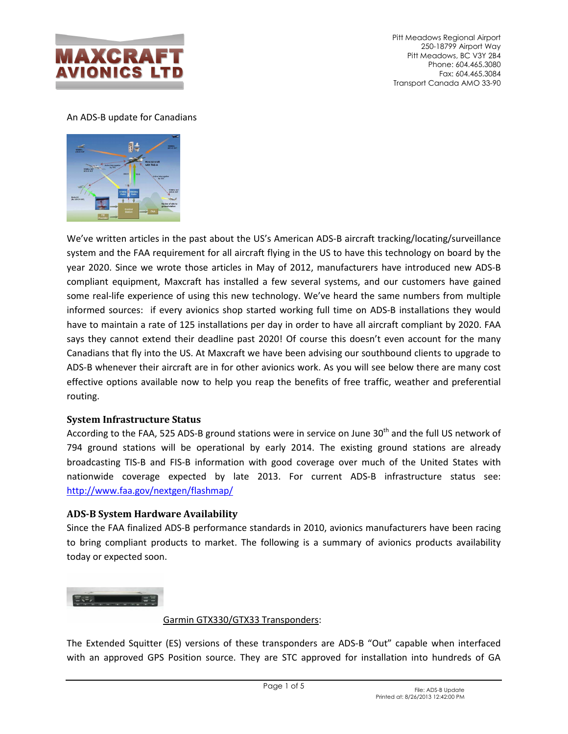

Pitt Meadows Regional Airport 250-18799 Airport Way Pitt Meadows, BC V3Y 2B4 Phone: 604.465.3080 Fax: 604.465.3084 Transport Canada AMO 33-90

## An ADS-B update for Canadians



We've written articles in the past about the US's American ADS-B aircraft tracking/locating/surveillance system and the FAA requirement for all aircraft flying in the US to have this technology on board by the year 2020. Since we wrote those articles in May of 2012, manufacturers have introduced new ADS-B compliant equipment, Maxcraft has installed a few several systems, and our customers have gained some real-life experience of using this new technology. We've heard the same numbers from multiple informed sources: if every avionics shop started working full time on ADS-B installations they would have to maintain a rate of 125 installations per day in order to have all aircraft compliant by 2020. FAA says they cannot extend their deadline past 2020! Of course this doesn't even account for the many Canadians that fly into the US. At Maxcraft we have been advising our southbound clients to upgrade to ADS-B whenever their aircraft are in for other avionics work. As you will see below there are many cost effective options available now to help you reap the benefits of free traffic, weather and preferential routing.

## **System Infrastructure Status**

According to the FAA, 525 ADS-B ground stations were in service on June 30<sup>th</sup> and the full US network of 794 ground stations will be operational by early 2014. The existing ground stations are already broadcasting TIS-B and FIS-B information with good coverage over much of the United States with nationwide coverage expected by late 2013. For current ADS-B infrastructure status see: http://www.faa.gov/nextgen/flashmap/

## **ADS-B System Hardware Availability**

Since the FAA finalized ADS-B performance standards in 2010, avionics manufacturers have been racing to bring compliant products to market. The following is a summary of avionics products availability today or expected soon.



## Garmin GTX330/GTX33 Transponders:

The Extended Squitter (ES) versions of these transponders are ADS-B "Out" capable when interfaced with an approved GPS Position source. They are STC approved for installation into hundreds of GA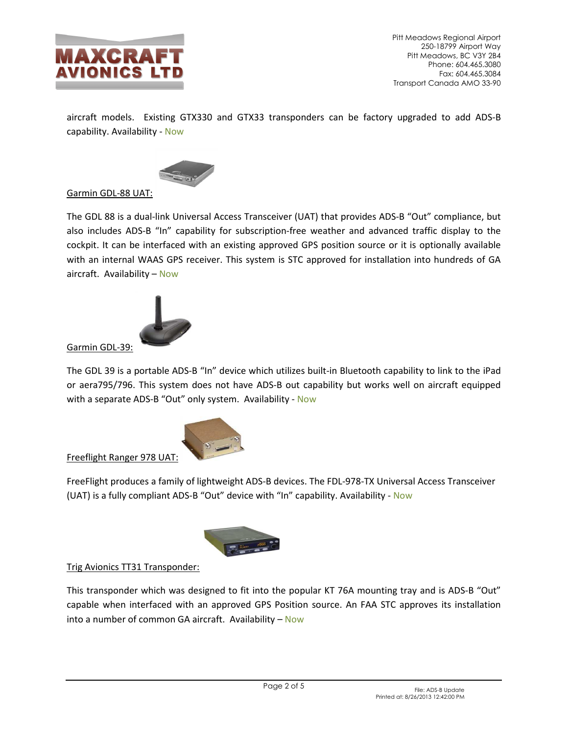

aircraft models. Existing GTX330 and GTX33 transponders can be factory upgraded to add ADS-B capability. Availability - Now



# Garmin GDL-88 UAT:

The GDL 88 is a dual-link Universal Access Transceiver (UAT) that provides ADS-B "Out" compliance, but also includes ADS-B "In" capability for subscription-free weather and advanced traffic display to the cockpit. It can be interfaced with an existing approved GPS position source or it is optionally available with an internal WAAS GPS receiver. This system is STC approved for installation into hundreds of GA aircraft. Availability – Now



Garmin GDL-39:

The GDL 39 is a portable ADS-B "In" device which utilizes built-in Bluetooth capability to link to the iPad or aera795/796. This system does not have ADS-B out capability but works well on aircraft equipped with a separate ADS-B "Out" only system. Availability - Now



Freeflight Ranger 978 UAT:

FreeFlight produces a family of lightweight ADS-B devices. The FDL-978-TX Universal Access Transceiver (UAT) is a fully compliant ADS-B "Out" device with "In" capability. Availability - Now



## Trig Avionics TT31 Transponder:

This transponder which was designed to fit into the popular KT 76A mounting tray and is ADS-B "Out" capable when interfaced with an approved GPS Position source. An FAA STC approves its installation into a number of common GA aircraft. Availability  $-$  Now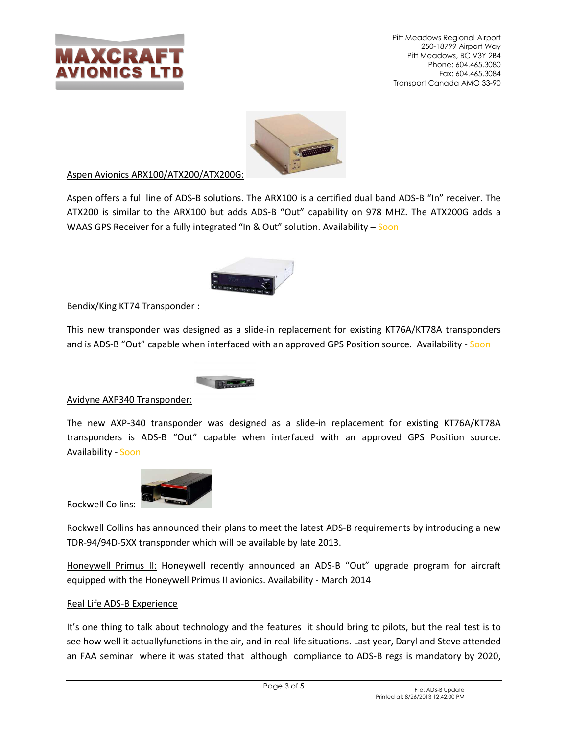

Pitt Meadows Regional Airport 250-18799 Airport Way Pitt Meadows, BC V3Y 2B4 Phone: 604.465.3080 Fax: 604.465.3084 Transport Canada AMO 33-90



### Aspen Avionics ARX100/ATX200/ATX200G:

Aspen offers a full line of ADS-B solutions. The ARX100 is a certified dual band ADS-B "In" receiver. The ATX200 is similar to the ARX100 but adds ADS-B "Out" capability on 978 MHZ. The ATX200G adds a WAAS GPS Receiver for a fully integrated "In & Out" solution. Availability – Soon



Bendix/King KT74 Transponder :

This new transponder was designed as a slide-in replacement for existing KT76A/KT78A transponders and is ADS-B "Out" capable when interfaced with an approved GPS Position source. Availability - Soon

Avidyne AXP340 Transponder:

The new AXP-340 transponder was designed as a slide-in replacement for existing KT76A/KT78A transponders is ADS-B "Out" capable when interfaced with an approved GPS Position source. Availability - Soon



Rockwell Collins has announced their plans to meet the latest ADS-B requirements by introducing a new TDR-94/94D-5XX transponder which will be available by late 2013.

Honeywell Primus II: Honeywell recently announced an ADS-B "Out" upgrade program for aircraft equipped with the Honeywell Primus II avionics. Availability - March 2014

#### Real Life ADS-B Experience

It's one thing to talk about technology and the features it should bring to pilots, but the real test is to see how well it actuallyfunctions in the air, and in real-life situations. Last year, Daryl and Steve attended an FAA seminar where it was stated that although compliance to ADS-B regs is mandatory by 2020,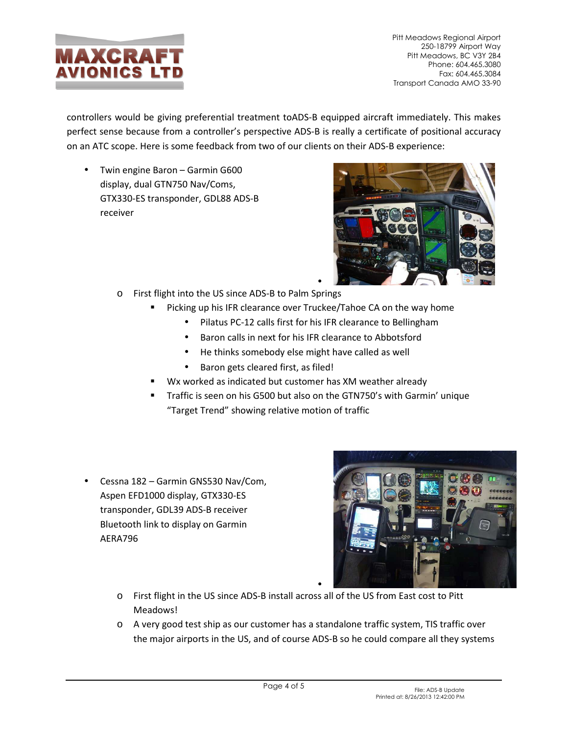

Pitt Meadows Regional Airport 250-18799 Airport Way Pitt Meadows, BC V3Y 2B4 Phone: 604.465.3080 Fax: 604.465.3084 Transport Canada AMO 33-90

controllers would be giving preferential treatment toADS-B equipped aircraft immediately. This makes perfect sense because from a controller's perspective ADS-B is really a certificate of positional accuracy on an ATC scope. Here is some feedback from two of our clients on their ADS-B experience:

• Twin engine Baron – Garmin G600 display, dual GTN750 Nav/Coms, GTX330-ES transponder, GDL88 ADS-B receiver



- o First flight into the US since ADS-B to Palm Springs
	- Picking up his IFR clearance over Truckee/Tahoe CA on the way home
		- Pilatus PC-12 calls first for his IFR clearance to Bellingham
		- Baron calls in next for his IFR clearance to Abbotsford
		- He thinks somebody else might have called as well
		- Baron gets cleared first, as filed!
	- Wx worked as indicated but customer has XM weather already
	- Traffic is seen on his G500 but also on the GTN750's with Garmin' unique "Target Trend" showing relative motion of traffic
- Cessna 182 Garmin GNS530 Nav/Com, Aspen EFD1000 display, GTX330-ES transponder, GDL39 ADS-B receiver Bluetooth link to display on Garmin AERA796



- o First flight in the US since ADS-B install across all of the US from East cost to Pitt Meadows!
- o A very good test ship as our customer has a standalone traffic system, TIS traffic over the major airports in the US, and of course ADS-B so he could compare all they systems